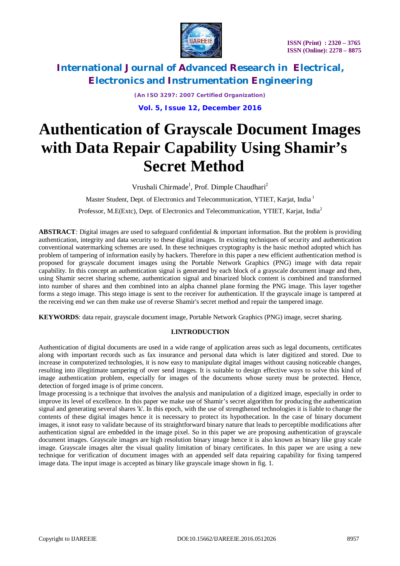

*(An ISO 3297: 2007 Certified Organization)* **Vol. 5, Issue 12, December 2016**

# **Authentication of Grayscale Document Images with Data Repair Capability Using Shamir's Secret Method**

Vrushali Chirmade<sup>1</sup>, Prof. Dimple Chaudhari<sup>2</sup>

Master Student, Dept. of Electronics and Telecommunication, YTIET, Karjat, India<sup>1</sup>

Professor, M.E(Extc), Dept. of Electronics and Telecommunication, YTIET, Karjat, India<sup>2</sup>

**ABSTRACT***:* Digital images are used to safeguard confidential & important information. But the problem is providing authentication, integrity and data security to these digital images. In existing techniques of security and authentication conventional watermarking schemes are used. In these techniques cryptography is the basic method adopted which has problem of tampering of information easily by hackers. Therefore in this paper a new efficient authentication method is proposed for grayscale document images using the Portable Network Graphics (PNG) image with data repair capability. In this concept an authentication signal is generated by each block of a grayscale document image and then, using Shamir secret sharing scheme, authentication signal and binarized block content is combined and transformed into number of shares and then combined into an alpha channel plane forming the PNG image. This layer together forms a stego image. This stego image is sent to the receiver for authentication. If the grayscale image is tampered at the receiving end we can then make use of reverse Shamir's secret method and repair the tampered image.

**KEYWORDS**: data repair, grayscale document image, Portable Network Graphics (PNG) image, secret sharing.

### **I.INTRODUCTION**

Authentication of digital documents are used in a wide range of application areas such as legal documents, certificates along with important records such as fax insurance and personal data which is later digitized and stored. Due to increase in computerized technologies, it is now easy to manipulate digital images without causing noticeable changes, resulting into illegitimate tampering of over send images. It is suitable to design effective ways to solve this kind of image authentication problem, especially for images of the documents whose surety must be protected. Hence, detection of forged image is of prime concern.

Image processing is a technique that involves the analysis and manipulation of a digitized image, especially in order to improve its level of excellence. In this paper we make use of Shamir's secret algorithm for producing the authentication signal and generating several shares 'k'. In this epoch, with the use of strengthened technologies it is liable to change the contents of these digital images hence it is necessary to protect its hypothecation. In the case of binary document images, it isnot easy to validate because of its straightforward binary nature that leads to perceptible modifications after authentication signal are embedded in the image pixel. So in this paper we are proposing authentication of grayscale document images. Grayscale images are high resolution binary image hence it is also known as binary like gray scale image. Grayscale images alter the visual quality limitation of binary certificates. In this paper we are using a new technique for verification of document images with an appended self data repairing capability for fixing tampered image data. The input image is accepted as binary like grayscale image shown in fig. 1.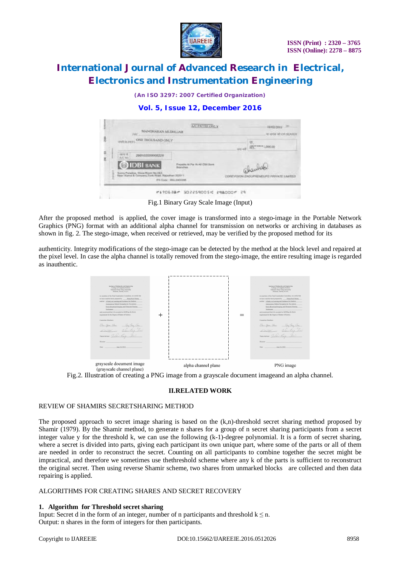

*(An ISO 3297: 2007 Certified Organization)*

### **Vol. 5, Issue 12, December 2016**

|        | <b>AC PAYER ONLY</b><br>MANDHAILAN MEEMESAR<br>332                                                                                                                                                                                   | <b>EDELIVALE</b><br>to seven in chi passage           |
|--------|--------------------------------------------------------------------------------------------------------------------------------------------------------------------------------------------------------------------------------------|-------------------------------------------------------|
|        | <b>ONE THOUSAND ONLY</b>                                                                                                                                                                                                             | FCC ***** 1,000.00                                    |
| 交<br>g | 298102000008228<br><b>A.C. No.</b><br><b>DIDBI BANK</b><br>At Par At AF CRI Same<br><b>Rowington</b><br>Survy Paradise, Shew Royer No. 263.<br>New: Kienut & Ceriyany, Tork Riad, Ratesther 322011.<br>IFS: Coyler - IBNG, 03000208. | abaulak<br>COREVISION ENDOFFIEVEDING PRIVATE LIMITED. |

Fig.1 Binary Gray Scale Image (Input)

After the proposed method is applied, the cover image is transformed into a stego-image in the Portable Network Graphics (PNG) format with an additional alpha channel for transmission on networks or archiving in databases as shown in fig. 2. The stego-image, when received or retrieved, may be verified by the proposed method for its

authenticity. Integrity modifications of the stego-image can be detected by the method at the block level and repaired at the pixel level. In case the alpha channel is totally removed from the stego-image, the entire resulting image is regarded as inauthentic.





### **II.RELATED WORK**

### REVIEW OF SHAMIRS SECRETSHARING METHOD

The proposed approach to secret image sharing is based on the (k,n)-threshold secret sharing method proposed by Shamir (1979). By the Shamir method, to generate n shares for a group of n secret sharing participants from a secret integer value y for the threshold k, we can use the following (k-1)-degree polynomial. It is a form of secret sharing, where a secret is divided into parts, giving each participant its own unique part, where some of the parts or all of them are needed in order to reconstruct the secret. Counting on all participants to combine together the secret might be impractical, and therefore we sometimes use thethreshold scheme where any k of the parts is sufficient to reconstruct the original secret. Then using reverse Shamir scheme, two shares from unmarked blocks are collected and then data repairing is applied.

### ALGORITHMS FOR CREATING SHARES AND SECRET RECOVERY

### **1. Algorithm for Threshold secret sharing**

Input: Secret d in the form of an integer, number of n participants and threshold  $k \le n$ . Output: n shares in the form of integers for then participants.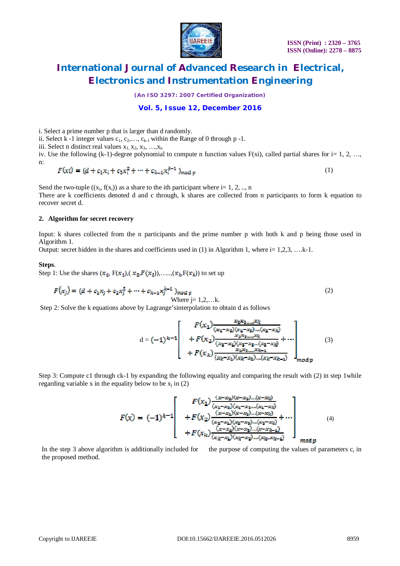

*(An ISO 3297: 2007 Certified Organization)*

### **Vol. 5, Issue 12, December 2016**

i. Select a prime number p that is larger than d randomly.

ii. Select k -1 integer values  $c_1, c_2, \ldots, c_{k-1}$  within the Range of 0 through p -1.

iii. Select n distinct real values  $x_1, x_2, x_3, \ldots, x_n$ 

iv. Use the following  $(k-1)$ -degree polynomial to compute n function values  $F(xi)$ , called partial shares for i= 1, 2, …, n:

$$
F(xi) = (d + c_1 x_i + c_2 x_i^2 + \dots + c_{k-1} x_i^{k-1})_{mod p}
$$
 (1)

Send the two-tuple  $((x_i, f(x_i))$  as a share to the ith participant where i= 1, 2, .., n

There are k coefficients denoted d and c through, k shares are collected from n participants to form k equation to recover secret d.

#### **2. Algorithm for secret recovery**

Input: k shares collected from the n participants and the prime number p with both k and p being those used in Algorithm 1.

Output: secret hidden in the shares and coefficients used in  $(1)$  in Algorithm 1, where i= 1,2,3, ...k-1.

#### **Steps**.

Step 1: Use the shares  $(x_1, F(x_1), (x_2, F(x_2)), \ldots, (x_k, F(x_k))$  to set up

$$
F(x_j) = (d + c_1 x_j + c_2 x_j^2 + \dots + c_{k-1} x_j^{k-1})_{\text{mod } p}
$$
  
Where j = 1,2,...k. (2)

Step 2: Solve the k equations above by Lagrange'sinterpolation to obtain d as follows

d = (3)

Step 3: Compute c1 through ck-1 by expanding the following equality and comparing the result with (2) in step 1while regarding variable x in the equality below to be  $x_j$  in (2)

$$
F(x) = (-1)^{k-1} \begin{bmatrix} F(x_1) \frac{(x-x_2)(x-x_3)...(x-x_k)}{(x_1-x_2)(x_2-x_3)...(x_1-x_k)} \\ + F(x_2) \frac{(x-x_2)(x-x_3)...(x-x_k)}{(x_2-x_1)(x_2-x_3)...(x_2-x_k)} + \cdots \\ + F(x_k) \frac{(x-x_2)(x-x_3)...(x-x_{k-1})}{(x_k-x_1)(x_k-x_2)...(x_k-x_{k-1})} \end{bmatrix}_{mod n}
$$
\n(4)

In the step 3 above algorithm is additionally included for the purpose of computing the values of parameters  $c_i$  in the proposed method.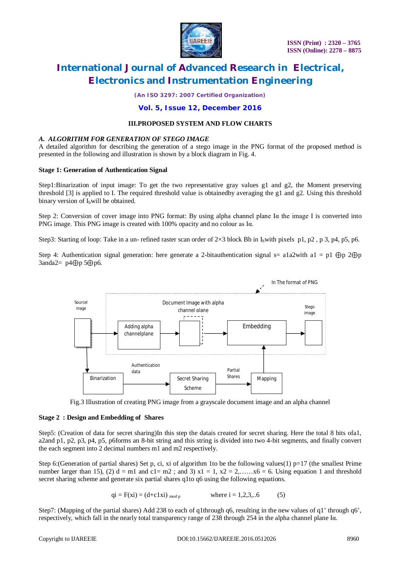

*(An ISO 3297: 2007 Certified Organization)*

### **Vol. 5, Issue 12, December 2016**

### **III.PROPOSED SYSTEM AND FLOW CHARTS**

### *A. ALGORITHM FOR GENERATION OF STEGO IMAGE*

A detailed algorithm for describing the generation of a stego image in the PNG format of the proposed method is presented in the following and illustration is shown by a block diagram in Fig. 4.

### **Stage 1: Generation of Authentication Signal**

Step1:Binarization of input image: To get the two representative gray values g1 and g2, the Moment preserving threshold [3] is applied to I. The required threshold value is obtainedby averaging the g1 and g2. Using this threshold binary version of  $I<sub>b</sub>$  will be obtained.

Step 2: Conversion of cover image into PNG format: By using alpha channel plane Iα the image I is converted into PNG image. This PNG image is created with 100% opacity and no colour as Iα.

Step3: Starting of loop: Take in a un- refined raster scan order of  $2\times3$  block Bb in I<sub>b</sub>with pixels p1, p2, p3, p4, p5, p6.

Step 4: Authentication signal generation: here generate a 2-bitauthentication signal s= a1a2with a1 = p1 ⊕p 2⊕p 3anda2= p4⊕p 5⊕p6*.*



Fig.3 Illustration of creating PNG image from a grayscale document image and an alpha channel

### **Stage 2 : Design and Embedding of Shares**

Step5: (Creation of data for secret sharing)In this step the datais created for secret sharing. Here the total 8 bits ofa1, a2and p1, p2, p3, p4, p5, p6forms an 8-bit string and this string is divided into two 4-bit segments, and finally convert the each segment into 2 decimal numbers m1 and m2 respectively.

Step 6:(Generation of partial shares) Set p, ci, xi of algorithm 1to be the following values(1)  $p=17$  (the smallest Prime number larger than 15), (2)  $d = m1$  and  $c1 = m2$ ; and 3)  $x1 = 1$ ,  $x2 = 2,...,x6 = 6$ . Using equation 1 and threshold secret sharing scheme and generate six partial shares q1to q6 using the following equations.

$$
qi = F(xi) = (d + c1xi)_{mod p}
$$
 where  $i = 1,2,3,..6$  (5)

Step7: (Mapping of the partial shares) Add 238 to each of q1through q6, resulting in the new values of q1' through q6', respectively, which fall in the nearly total transparency range of 238 through 254 in the alpha channel plane Iα.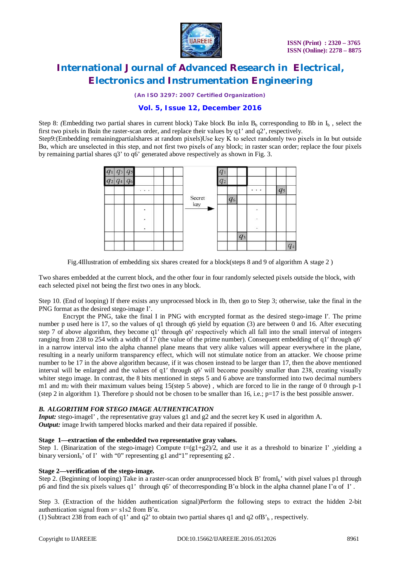

*(An ISO 3297: 2007 Certified Organization)*

### **Vol. 5, Issue 12, December 2016**

Step 8: *(Embedding two partial shares in current block)* Take block  $B\alpha$  inI $\alpha$  B<sub>b</sub>, corresponding to Bb in I<sub>b</sub>, select the first two pixels in Bαin the raster-scan order, and replace their values by q1' and q2', respectively.

Step9:(Embedding remainingpartialshares at random pixels)Use key K to select randomly two pixels in Iα but outside Bα, which are unselected in this step, and not first two pixels of any block; in raster scan order; replace the four pixels by remaining partial shares q3' to q6' generated above respectively as shown in Fig. 3.



Fig.4IIIustration of embedding six shares created for a block(steps 8 and 9 of algorithm A stage 2)

Two shares embedded at the current block, and the other four in four randomly selected pixels outside the block, with each selected pixel not being the first two ones in any block.

Step 10. (End of looping) If there exists any unprocessed block in Ib, then go to Step 3; otherwise, take the final in the PNG format as the desired stego-image I'.

Encrypt the PNG, take the final I in PNG with encrypted format as the desired stego-image I′. The prime number p used here is 17, so the values of q1 through q6 yield by equation (3) are between 0 and 16. After executing step 7 of above algorithm, they become q1′ through q6′ respectively which all fall into the small interval of integers ranging from 238 to 254 with a width of 17 (the value of the prime number). Consequent embedding of q1′ through q6′ in a narrow interval into the alpha channel plane means that very alike values will appear everywhere in the plane, resulting in a nearly uniform transparency effect, which will not stimulate notice from an attacker. We choose prime number to be 17 in the above algorithm because, if it was chosen instead to be larger than 17, then the above mentioned interval will be enlarged and the values of q1′ through q6′ will become possibly smaller than 238, creating visually whiter stego image. In contrast, the 8 bits mentioned in steps 5 and 6 above are transformed into two decimal numbers m1 and m2 with their maximum values being 15(step 5 above) , which are forced to lie in the range of 0 through p-1 (step 2 in algorithm 1). Therefore p should not be chosen to be smaller than 16, i.e.;  $p=17$  is the best possible answer.

### *B. ALGORITHM FOR STEGO IMAGE AUTHENTICATION*

*Input:* stego-imageI', the representative gray values g1 and g2 and the secret key K used in algorithm A. *Output:* image Irwith tampered blocks marked and their data repaired if possible.

### **Stage 1—extraction of the embedded two representative gray values.**

Step 1. (Binarization of the stego-image) Compute  $\pm (g1+g2)/2$ , and use it as a threshold to binarize I', yielding a binary version $I_b'$  of I' with "0" representing g1 and "1" representing g2.

### **Stage 2—verification of the stego-image.**

Step 2. (Beginning of looping) Take in a raster-scan order anunprocessed block B' from $I_b$ ' with pixel values p1 through p6 and find the six pixels values q1' through q6' of the corresponding  $B' \alpha$  block in the alpha channel plane I' $\alpha$  of I'.

Step 3. (Extraction of the hidden authentication signal)Perform the following steps to extract the hidden 2-bit authentication signal from  $s = s1s2$  from  $B<sup>2</sup>α$ .

(1) Subtract 238 from each of q1' and q2' to obtain two partial shares q1 and q2 of B'<sub>b</sub>, respectively.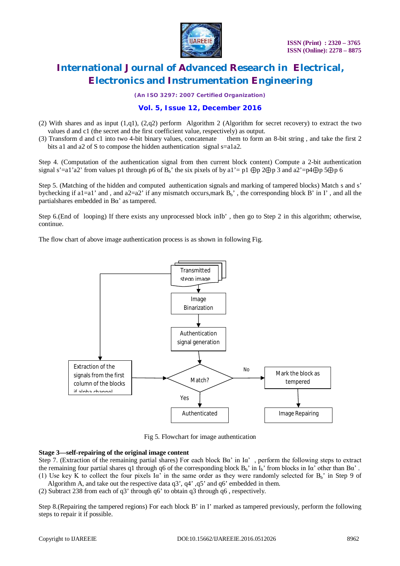

*(An ISO 3297: 2007 Certified Organization)*

### **Vol. 5, Issue 12, December 2016**

- (2) With shares and as input (1,q1), (2,q2) perform Algorithm 2 (Algorithm for secret recovery) to extract the two values d and c1 (the secret and the first coefficient value, respectively) as output.
- (3) Transform d and c1 into two 4-bit binary values, concatenate them to form an 8-bit string , and take the first 2 bits a1 and a2 of S to compose the hidden authentication signal s=a1a2.

Step 4. (Computation of the authentication signal from then current block content) Compute a 2-bit authentication signal s'=a1'a2' from values p1 through p6 of  $B_b$ ' the six pixels of by a1'= p1 ⊕p 2⊕p 3 and a2'=p4⊕p 5⊕p 6

Step 5. (Matching of the hidden and computed authentication signals and marking of tampered blocks) Match s and s' bychecking if a1=a1' and , and a2=a2' if any mismatch occurs,mark  $B_b'$ , the corresponding block B' in I', and all the partialshares embedded in Bα' as tampered.

Step 6.(End of looping) If there exists any unprocessed block inIb' , then go to Step 2 in this algorithm; otherwise, continue.

The flow chart of above image authentication process is as shown in following Fig.



Fig 5. Flowchart for image authentication

### **Stage 3—self-repairing of the original image content**

Step 7. (Extraction of the remaining partial shares) For each block Bα' in Iα' , perform the following steps to extract the remaining four partial shares q1 through q6 of the corresponding block  $B_b$ ' in  $I_b$ ' from blocks in I $\alpha$ ' other than  $B\alpha$ '. (1) Use key K to collect the four pixels  $I\alpha'$  in the same order as they were randomly selected for  $B_b'$  in Step 9 of

Algorithm A, and take out the respective data q3', q4', q5' and q6' embedded in them.

(2) Subtract 238 from each of q3' through q6' to obtain q3 through q6 , respectively.

Step 8.(Repairing the tampered regions) For each block B' in I' marked as tampered previously, perform the following steps to repair it if possible.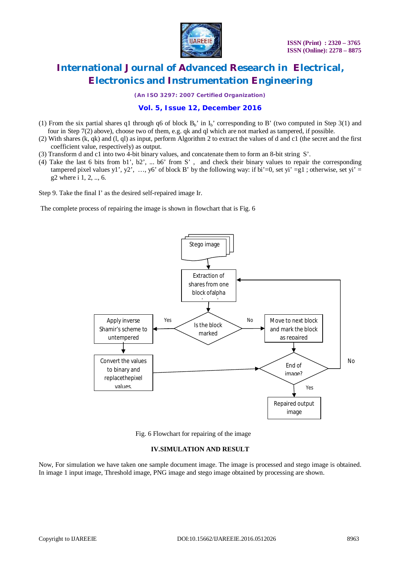

*(An ISO 3297: 2007 Certified Organization)*

## **Vol. 5, Issue 12, December 2016**

- (1) From the six partial shares q1 through q6 of block  $B_b'$  in  $I_b'$  corresponding to B' (two computed in Step 3(1) and four in Step 7(2) above), choose two of them, e.g. qk and ql which are not marked as tampered, if possible.
- (2) With shares (k, qk) and (l, ql) as input, perform Algorithm 2 to extract the values of d and c1 (the secret and the first coefficient value, respectively) as output.
- (3) Transform d and c1 into two 4-bit binary values, and concatenate them to form an 8-bit string S'.
- (4) Take the last 6 bits from b1', b2', ... b6' from S' , and check their binary values to repair the corresponding tampered pixel values y1', y2', …, y6' of block B' by the following way: if bi'=0, set yi' =g1; otherwise, set yi' = g2 where i 1, 2, .., 6.

Step 9. Take the final I' as the desired self-repaired image Ir.

The complete process of repairing the image is shown in flowchart that is Fig. 6



Fig. 6 Flowchart for repairing of the image

### **IV.SIMULATION AND RESULT**

Now, For simulation we have taken one sample document image. The image is processed and stego image is obtained. In image 1 input image, Threshold image, PNG image and stego image obtained by processing are shown.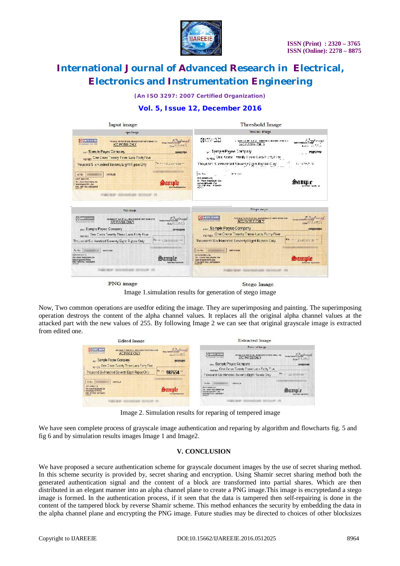

*(An ISO 3297: 2007 Certified Organization)*

### **Vol. 5, Issue 12, December 2016**



PNG image

Stego Image

Image 1.simulation results for generation of stego image

Now, Two common operations are usedfor editing the image. They are superimposing and painting. The superimposing operation destroys the content of the alpha channel values. It replaces all the original alpha channel values at the attacked part with the new values of 255. By following Image 2 we can see that original grayscale image is extracted from edited one.

| <b>Edited Image</b>                                                                                                                                       | <b>Extracted Image</b>                                                                                                                                                                                       |
|-----------------------------------------------------------------------------------------------------------------------------------------------------------|--------------------------------------------------------------------------------------------------------------------------------------------------------------------------------------------------------------|
| <b>O HOFE BANK</b><br>may ment in Every Lisa<br><b>PAYABLE AT FAR AT AL., BRANCHES CF ACFORMATION</b>                                                     | <b>Extracted Insure</b>                                                                                                                                                                                      |
| A/C PAYEE CNLY<br>he entered excellent<br>Developed 14M 12<br>PAY Sample Payee Company<br>MODECOURSE                                                      | <b>C HELFE BANK</b><br>FORVIDEN OF STATE STATE<br>PICABLE AT MAINT ALL BURKINSS OF IDPC SAMICUDE<br>AIC PAYEEOILY<br>We ustierate it you won't<br>Dr.w 27.3 Job 12<br>pay Sample Payee Company<br>CONDUCERS. |
| Repairs One Crore Twenty Three Lacs Forty Five<br>Thousand Six Hundred Seventy Eight Rupee Only<br>987654                                                 | HUYES One Crone Twenty Time Lacs Ficity Filve<br>Fs.  : 25.45.373.00 :<br>Trousand Six Handred Seventy Eight Rubee Only                                                                                      |
| AlcNo.<br>HEFS FL.S<br>HISTORIAN CTR.<br>*N-L Aren (Find Director Cor-<br><b>Text-di-amis-CCT11Cos</b><br><b>FREE BUTTING WORKHOON</b><br><b>SIPORKEE</b> | As No.<br><b>HIMORLING</b><br>MOIC RANC LTC.<br>326 Arrort Rost shkelling Gran<br>Vacc-de-genia-40213os<br>RITCO/ BERT FEI : (DECIMADILE<br>Autorisa) restautiva<br><b>RATA OCL</b>                          |
|                                                                                                                                                           |                                                                                                                                                                                                              |

Image 2. Simulation results for reparing of tempered image

We have seen complete process of grayscale image authentication and reparing by algorithm and flowcharts fig. 5 and fig 6 and by simulation results images Image 1 and Image2.

### **V. CONCLUSION**

We have proposed a secure authentication scheme for grayscale document images by the use of secret sharing method. In this scheme security is provided by, secret sharing and encryption. Using Shamir secret sharing method both the generated authentication signal and the content of a block are transformed into partial shares. Which are then distributed in an elegant manner into an alpha channel plane to create a PNG image.This image is encryptedand a stego image is formed. In the authentication process, if it seen that the data is tampered then self-repairing is done in the content of the tampered block by reverse Shamir scheme. This method enhances the security by embedding the data in the alpha channel plane and encrypting the PNG image. Future studies may be directed to choices of other blocksizes